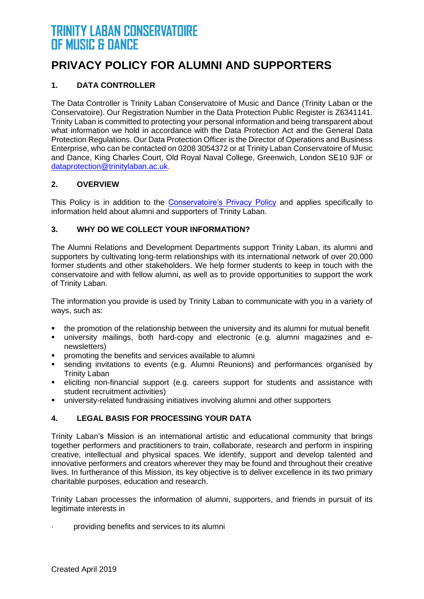## **PRIVACY POLICY FOR ALUMNI AND SUPPORTERS**

## **1. DATA CONTROLLER**

The Data Controller is Trinity Laban Conservatoire of Music and Dance (Trinity Laban or the Conservatoire). Our Registration Number in the Data Protection Public Register is Z6341141. Trinity Laban is committed to protecting your personal information and being transparent about what information we hold in accordance with the Data Protection Act and the General Data Protection Regulations. Our Data Protection Officer is the Director of Operations and Business Enterprise, who can be contacted on 0208 3054372 or at Trinity Laban Conservatoire of Music and Dance, King Charles Court, Old Royal Naval College, Greenwich, London SE10 9JF or [dataprotection@trinitylaban.ac.uk.](mailto:dataprotection@trinitylaban.ac.uk)

### **2. OVERVIEW**

This Policy is in addition to the [Conservatoire's Privacy Policy](https://www.trinitylaban.ac.uk/about-us/policies-and-freedom-of-information/privacy-policy) and applies specifically to information held about alumni and supporters of Trinity Laban.

## **3. WHY DO WE COLLECT YOUR INFORMATION?**

The Alumni Relations and Development Departments support Trinity Laban, its alumni and supporters by cultivating long-term relationships with its international network of over 20,000 former students and other stakeholders. We help former students to keep in touch with the conservatoire and with fellow alumni, as well as to provide opportunities to support the work of Trinity Laban.

The information you provide is used by Trinity Laban to communicate with you in a variety of ways, such as:

- the promotion of the relationship between the university and its alumni for mutual benefit
- university mailings, both hard-copy and electronic (e.g. alumni magazines and enewsletters)
- promoting the benefits and services available to alumni
- sending invitations to events (e.g. Alumni Reunions) and performances organised by Trinity Laban
- **EXECT** eliciting non-financial support (e.g. careers support for students and assistance with student recruitment activities)
- university-related fundraising initiatives involving alumni and other supporters

## **4. LEGAL BASIS FOR PROCESSING YOUR DATA**

Trinity Laban's Mission is an international artistic and educational community that brings together performers and practitioners to train, collaborate, research and perform in inspiring creative, intellectual and physical spaces. We identify, support and develop talented and innovative performers and creators wherever they may be found and throughout their creative lives. In furtherance of this Mission, its key objective is to deliver excellence in its two primary charitable purposes, education and research.

Trinity Laban processes the information of alumni, supporters, and friends in pursuit of its legitimate interests in

· providing benefits and services to its alumni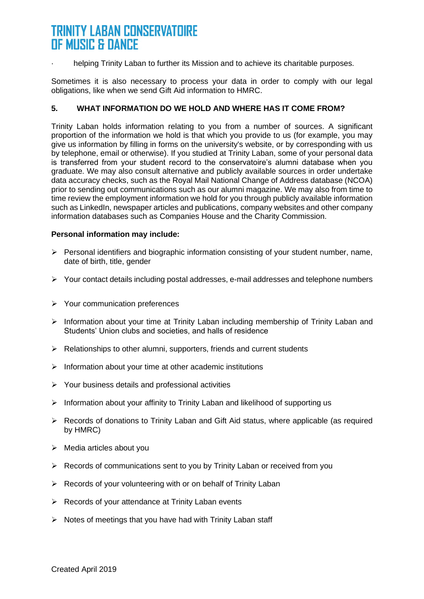helping Trinity Laban to further its Mission and to achieve its charitable purposes.

Sometimes it is also necessary to process your data in order to comply with our legal obligations, like when we send Gift Aid information to HMRC.

#### **5. WHAT INFORMATION DO WE HOLD AND WHERE HAS IT COME FROM?**

Trinity Laban holds information relating to you from a number of sources. A significant proportion of the information we hold is that which you provide to us (for example, you may give us information by filling in forms on the university's website, or by corresponding with us by telephone, email or otherwise). If you studied at Trinity Laban, some of your personal data is transferred from your student record to the conservatoire's alumni database when you graduate. We may also consult alternative and publicly available sources in order undertake data accuracy checks, such as the Royal Mail National Change of Address database (NCOA) prior to sending out communications such as our alumni magazine. We may also from time to time review the employment information we hold for you through publicly available information such as LinkedIn, newspaper articles and publications, company websites and other company information databases such as Companies House and the Charity Commission.

#### **Personal information may include:**

- ➢ Personal identifiers and biographic information consisting of your student number, name, date of birth, title, gender
- ➢ Your contact details including postal addresses, e-mail addresses and telephone numbers
- ➢ Your communication preferences
- ➢ Information about your time at Trinity Laban including membership of Trinity Laban and Students' Union clubs and societies, and halls of residence
- ➢ Relationships to other alumni, supporters, friends and current students
- $\triangleright$  Information about your time at other academic institutions
- ➢ Your business details and professional activities
- $\triangleright$  Information about your affinity to Trinity Laban and likelihood of supporting us
- ➢ Records of donations to Trinity Laban and Gift Aid status, where applicable (as required by HMRC)
- $\triangleright$  Media articles about you
- $\triangleright$  Records of communications sent to you by Trinity Laban or received from you
- ➢ Records of your volunteering with or on behalf of Trinity Laban
- ➢ Records of your attendance at Trinity Laban events
- ➢ Notes of meetings that you have had with Trinity Laban staff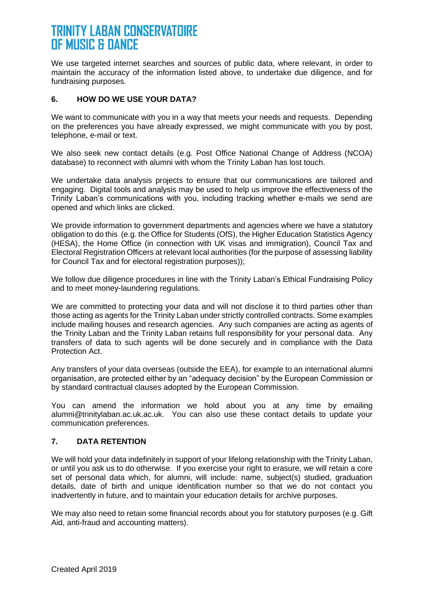We use targeted internet searches and sources of public data, where relevant, in order to maintain the accuracy of the information listed above, to undertake due diligence, and for fundraising purposes.

### **6. HOW DO WE USE YOUR DATA?**

We want to communicate with you in a way that meets your needs and requests. Depending on the preferences you have already expressed, we might communicate with you by post, telephone, e-mail or text.

We also seek new contact details (e.g. Post Office National Change of Address (NCOA) database) to reconnect with alumni with whom the Trinity Laban has lost touch.

We undertake data analysis projects to ensure that our communications are tailored and engaging. Digital tools and analysis may be used to help us improve the effectiveness of the Trinity Laban's communications with you, including tracking whether e-mails we send are opened and which links are clicked.

We provide information to government departments and agencies where we have a statutory obligation to do this (e.g. the Office for Students (OfS), the Higher Education Statistics Agency (HESA), the Home Office (in connection with UK visas and immigration), Council Tax and Electoral Registration Officers at relevant local authorities (for the purpose of assessing liability for Council Tax and for electoral registration purposes));

We follow due diligence procedures in line with the Trinity Laban's Ethical Fundraising Policy and to meet money-laundering regulations.

We are committed to protecting your data and will not disclose it to third parties other than those acting as agents for the Trinity Laban under strictly controlled contracts. Some examples include mailing houses and research agencies. Any such companies are acting as agents of the Trinity Laban and the Trinity Laban retains full responsibility for your personal data. Any transfers of data to such agents will be done securely and in compliance with the Data Protection Act.

Any transfers of your data overseas (outside the EEA), for example to an international alumni organisation, are protected either by an "adequacy decision" by the European Commission or by standard contractual clauses adopted by the European Commission.

You can amend the information we hold about you at any time by emailing alumni@trinitylaban.ac.uk.ac.uk. You can also use these contact details to update your communication preferences.

#### **7. DATA RETENTION**

We will hold your data indefinitely in support of your lifelong relationship with the Trinity Laban, or until you ask us to do otherwise. If you exercise your right to erasure, we will retain a core set of personal data which, for alumni, will include: name, subject(s) studied, graduation details, date of birth and unique identification number so that we do not contact you inadvertently in future, and to maintain your education details for archive purposes.

We may also need to retain some financial records about you for statutory purposes (e.g. Gift Aid, anti-fraud and accounting matters).